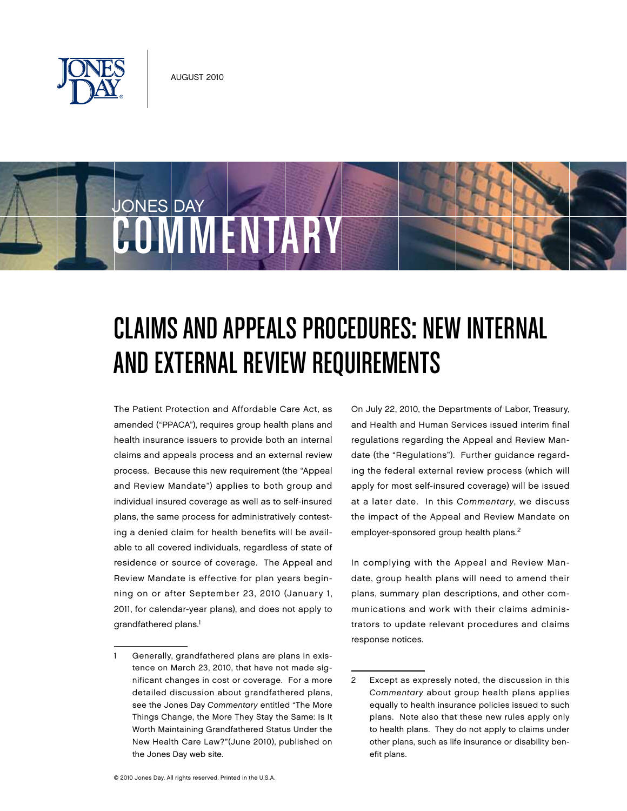

COMMENTARY

JONES DAY



The Patient Protection and Affordable Care Act, as amended ("PPACA"), requires group health plans and health insurance issuers to provide both an internal claims and appeals process and an external review process. Because this new requirement (the "Appeal and Review Mandate") applies to both group and individual insured coverage as well as to self-insured plans, the same process for administratively contesting a denied claim for health benefits will be available to all covered individuals, regardless of state of residence or source of coverage. The Appeal and Review Mandate is effective for plan years beginning on or after September 23, 2010 (January 1, 2011, for calendar-year plans), and does not apply to grandfathered plans.<sup>1</sup>

On July 22, 2010, the Departments of Labor, Treasury, and Health and Human Services issued interim final regulations regarding the Appeal and Review Mandate (the "Regulations"). Further guidance regarding the federal external review process (which will apply for most self-insured coverage) will be issued at a later date. In this Commentary, we discuss the impact of the Appeal and Review Mandate on employer-sponsored group health plans.<sup>2</sup>

In complying with the Appeal and Review Mandate, group health plans will need to amend their plans, summary plan descriptions, and other communications and work with their claims administrators to update relevant procedures and claims response notices.

<sup>1</sup> Generally, grandfathered plans are plans in existence on March 23, 2010, that have not made significant changes in cost or coverage. For a more detailed discussion about grandfathered plans, see the Jones Day Commentary entitled "The More Things Change, the More They Stay the Same: Is It Worth Maintaining Grandfathered Status Under the New Health Care Law?"(June 2010), published on the Jones Day web site.

<sup>2</sup> Except as expressly noted, the discussion in this Commentary about group health plans applies equally to health insurance policies issued to such plans. Note also that these new rules apply only to health plans. They do not apply to claims under other plans, such as life insurance or disability benefit plans.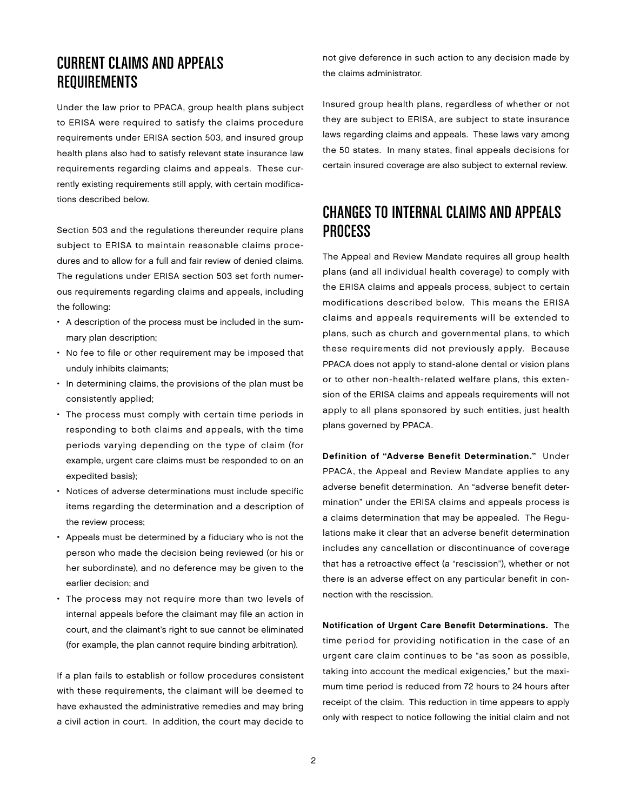## CURRENT CLAIMS AND APPEALS REQUIREMENTS

Under the law prior to PPACA, group health plans subject to ERISA were required to satisfy the claims procedure requirements under ERISA section 503, and insured group health plans also had to satisfy relevant state insurance law requirements regarding claims and appeals. These currently existing requirements still apply, with certain modifications described below.

Section 503 and the regulations thereunder require plans subject to ERISA to maintain reasonable claims procedures and to allow for a full and fair review of denied claims. The regulations under ERISA section 503 set forth numerous requirements regarding claims and appeals, including the following:

- A description of the process must be included in the summary plan description;
- No fee to file or other requirement may be imposed that unduly inhibits claimants;
- In determining claims, the provisions of the plan must be consistently applied;
- The process must comply with certain time periods in responding to both claims and appeals, with the time periods varying depending on the type of claim (for example, urgent care claims must be responded to on an expedited basis);
- Notices of adverse determinations must include specific items regarding the determination and a description of the review process;
- Appeals must be determined by a fiduciary who is not the person who made the decision being reviewed (or his or her subordinate), and no deference may be given to the earlier decision; and
- The process may not require more than two levels of internal appeals before the claimant may file an action in court, and the claimant's right to sue cannot be eliminated (for example, the plan cannot require binding arbitration).

If a plan fails to establish or follow procedures consistent with these requirements, the claimant will be deemed to have exhausted the administrative remedies and may bring a civil action in court. In addition, the court may decide to

not give deference in such action to any decision made by the claims administrator.

Insured group health plans, regardless of whether or not they are subject to ERISA, are subject to state insurance laws regarding claims and appeals. These laws vary among the 50 states. In many states, final appeals decisions for certain insured coverage are also subject to external review.

## CHANGES TO INTERNAL CLAIMS AND APPEALS PROCESS

The Appeal and Review Mandate requires all group health plans (and all individual health coverage) to comply with the ERISA claims and appeals process, subject to certain modifications described below. This means the ERISA claims and appeals requirements will be extended to plans, such as church and governmental plans, to which these requirements did not previously apply. Because PPACA does not apply to stand-alone dental or vision plans or to other non-health-related welfare plans, this extension of the ERISA claims and appeals requirements will not apply to all plans sponsored by such entities, just health plans governed by PPACA.

Definition of "Adverse Benefit Determination." Under PPACA, the Appeal and Review Mandate applies to any adverse benefit determination. An "adverse benefit determination" under the ERISA claims and appeals process is a claims determination that may be appealed. The Regulations make it clear that an adverse benefit determination includes any cancellation or discontinuance of coverage that has a retroactive effect (a "rescission"), whether or not there is an adverse effect on any particular benefit in connection with the rescission.

Notification of Urgent Care Benefit Determinations. The time period for providing notification in the case of an urgent care claim continues to be "as soon as possible, taking into account the medical exigencies," but the maximum time period is reduced from 72 hours to 24 hours after receipt of the claim. This reduction in time appears to apply only with respect to notice following the initial claim and not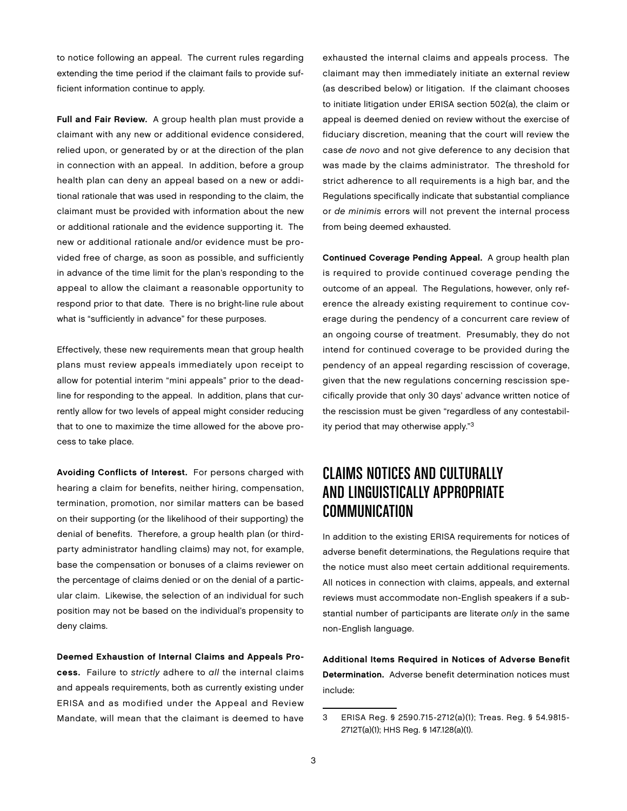to notice following an appeal. The current rules regarding extending the time period if the claimant fails to provide sufficient information continue to apply.

Full and Fair Review. A group health plan must provide a claimant with any new or additional evidence considered, relied upon, or generated by or at the direction of the plan in connection with an appeal. In addition, before a group health plan can deny an appeal based on a new or additional rationale that was used in responding to the claim, the claimant must be provided with information about the new or additional rationale and the evidence supporting it. The new or additional rationale and/or evidence must be provided free of charge, as soon as possible, and sufficiently in advance of the time limit for the plan's responding to the appeal to allow the claimant a reasonable opportunity to respond prior to that date. There is no bright-line rule about what is "sufficiently in advance" for these purposes.

Effectively, these new requirements mean that group health plans must review appeals immediately upon receipt to allow for potential interim "mini appeals" prior to the deadline for responding to the appeal. In addition, plans that currently allow for two levels of appeal might consider reducing that to one to maximize the time allowed for the above process to take place.

Avoiding Conflicts of Interest. For persons charged with hearing a claim for benefits, neither hiring, compensation, termination, promotion, nor similar matters can be based on their supporting (or the likelihood of their supporting) the denial of benefits. Therefore, a group health plan (or thirdparty administrator handling claims) may not, for example, base the compensation or bonuses of a claims reviewer on the percentage of claims denied or on the denial of a particular claim. Likewise, the selection of an individual for such position may not be based on the individual's propensity to deny claims.

Deemed Exhaustion of Internal Claims and Appeals Process. Failure to strictly adhere to all the internal claims and appeals requirements, both as currently existing under ERISA and as modified under the Appeal and Review Mandate, will mean that the claimant is deemed to have

exhausted the internal claims and appeals process. The claimant may then immediately initiate an external review (as described below) or litigation. If the claimant chooses to initiate litigation under ERISA section 502(a), the claim or appeal is deemed denied on review without the exercise of fiduciary discretion, meaning that the court will review the case de novo and not give deference to any decision that was made by the claims administrator. The threshold for strict adherence to all requirements is a high bar, and the Regulations specifically indicate that substantial compliance or de minimis errors will not prevent the internal process from being deemed exhausted.

Continued Coverage Pending Appeal. A group health plan is required to provide continued coverage pending the outcome of an appeal. The Regulations, however, only reference the already existing requirement to continue coverage during the pendency of a concurrent care review of an ongoing course of treatment. Presumably, they do not intend for continued coverage to be provided during the pendency of an appeal regarding rescission of coverage, given that the new regulations concerning rescission specifically provide that only 30 days' advance written notice of the rescission must be given "regardless of any contestability period that may otherwise apply."3

# CLAIMS NOTICES AND CULTURALLY AND LINGUISTICALLY APPROPRIATE COMMUNICATION

In addition to the existing ERISA requirements for notices of adverse benefit determinations, the Regulations require that the notice must also meet certain additional requirements. All notices in connection with claims, appeals, and external reviews must accommodate non-English speakers if a substantial number of participants are literate only in the same non-English language.

Additional Items Required in Notices of Adverse Benefit Determination. Adverse benefit determination notices must include:

<sup>3</sup> ERISA Reg. § 2590.715-2712(a)(1); Treas. Reg. § 54.9815- 2712T(a)(1); HHS Reg. § 147.128(a)(1).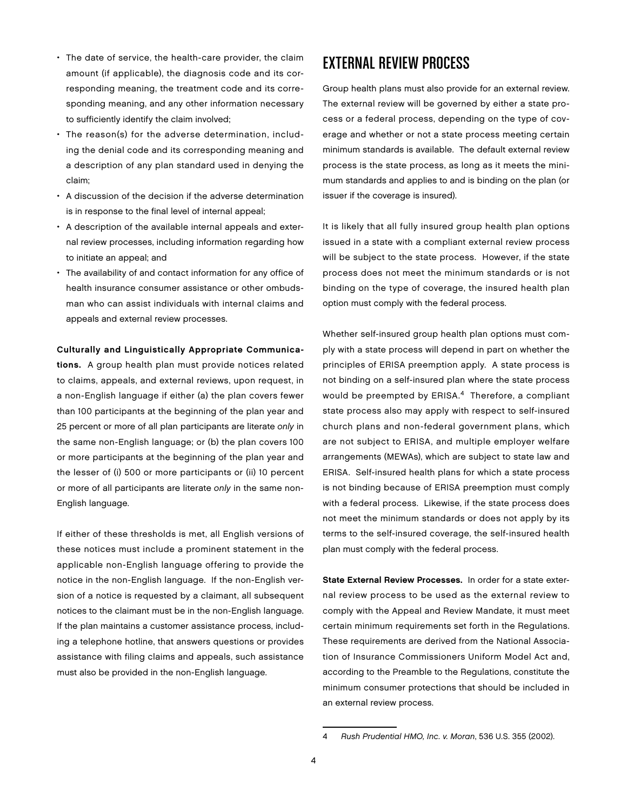- The date of service, the health-care provider, the claim amount (if applicable), the diagnosis code and its corresponding meaning, the treatment code and its corresponding meaning, and any other information necessary to sufficiently identify the claim involved;
- The reason(s) for the adverse determination, including the denial code and its corresponding meaning and a description of any plan standard used in denying the claim;
- A discussion of the decision if the adverse determination is in response to the final level of internal appeal;
- A description of the available internal appeals and external review processes, including information regarding how to initiate an appeal; and
- The availability of and contact information for any office of health insurance consumer assistance or other ombudsman who can assist individuals with internal claims and appeals and external review processes.

#### Culturally and Linguistically Appropriate Communica-

tions. A group health plan must provide notices related to claims, appeals, and external reviews, upon request, in a non-English language if either (a) the plan covers fewer than 100 participants at the beginning of the plan year and 25 percent or more of all plan participants are literate only in the same non-English language; or (b) the plan covers 100 or more participants at the beginning of the plan year and the lesser of (i) 500 or more participants or (ii) 10 percent or more of all participants are literate only in the same non-English language.

If either of these thresholds is met, all English versions of these notices must include a prominent statement in the applicable non-English language offering to provide the notice in the non-English language. If the non-English version of a notice is requested by a claimant, all subsequent notices to the claimant must be in the non-English language. If the plan maintains a customer assistance process, including a telephone hotline, that answers questions or provides assistance with filing claims and appeals, such assistance must also be provided in the non-English language.

## EXTERNAL REVIEW PROCESS

Group health plans must also provide for an external review. The external review will be governed by either a state process or a federal process, depending on the type of coverage and whether or not a state process meeting certain minimum standards is available. The default external review process is the state process, as long as it meets the minimum standards and applies to and is binding on the plan (or issuer if the coverage is insured).

It is likely that all fully insured group health plan options issued in a state with a compliant external review process will be subject to the state process. However, if the state process does not meet the minimum standards or is not binding on the type of coverage, the insured health plan option must comply with the federal process.

Whether self-insured group health plan options must comply with a state process will depend in part on whether the principles of ERISA preemption apply. A state process is not binding on a self-insured plan where the state process would be preempted by ERISA.4 Therefore, a compliant state process also may apply with respect to self-insured church plans and non-federal government plans, which are not subject to ERISA, and multiple employer welfare arrangements (MEWAs), which are subject to state law and ERISA. Self-insured health plans for which a state process is not binding because of ERISA preemption must comply with a federal process. Likewise, if the state process does not meet the minimum standards or does not apply by its terms to the self-insured coverage, the self-insured health plan must comply with the federal process.

State External Review Processes. In order for a state external review process to be used as the external review to comply with the Appeal and Review Mandate, it must meet certain minimum requirements set forth in the Regulations. These requirements are derived from the National Association of Insurance Commissioners Uniform Model Act and, according to the Preamble to the Regulations, constitute the minimum consumer protections that should be included in an external review process.

<sup>4</sup> Rush Prudential HMO, Inc. v. Moran, 536 U.S. 355 (2002).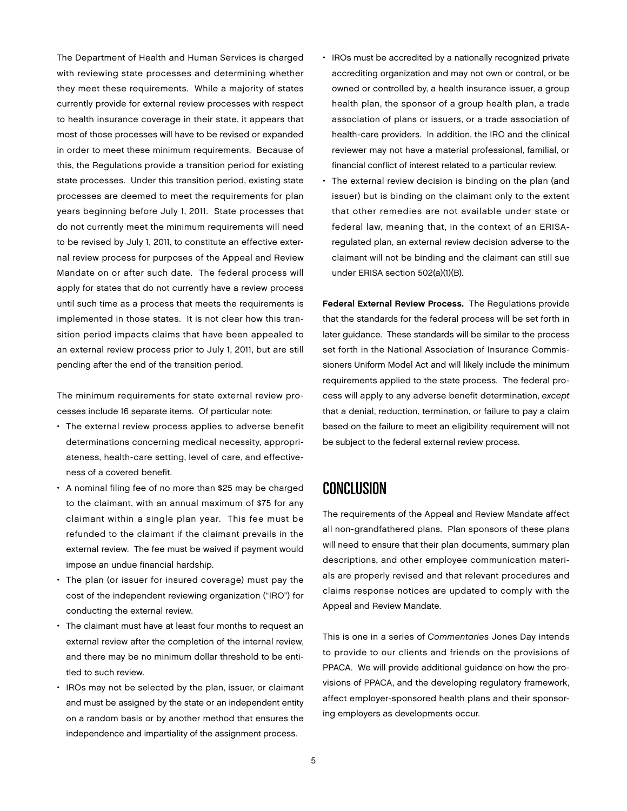The Department of Health and Human Services is charged with reviewing state processes and determining whether they meet these requirements. While a majority of states currently provide for external review processes with respect to health insurance coverage in their state, it appears that most of those processes will have to be revised or expanded in order to meet these minimum requirements. Because of this, the Regulations provide a transition period for existing state processes. Under this transition period, existing state processes are deemed to meet the requirements for plan years beginning before July 1, 2011. State processes that do not currently meet the minimum requirements will need to be revised by July 1, 2011, to constitute an effective external review process for purposes of the Appeal and Review Mandate on or after such date. The federal process will apply for states that do not currently have a review process until such time as a process that meets the requirements is implemented in those states. It is not clear how this transition period impacts claims that have been appealed to an external review process prior to July 1, 2011, but are still pending after the end of the transition period.

The minimum requirements for state external review processes include 16 separate items. Of particular note:

- The external review process applies to adverse benefit determinations concerning medical necessity, appropriateness, health-care setting, level of care, and effectiveness of a covered benefit.
- A nominal filing fee of no more than \$25 may be charged to the claimant, with an annual maximum of \$75 for any claimant within a single plan year. This fee must be refunded to the claimant if the claimant prevails in the external review. The fee must be waived if payment would impose an undue financial hardship.
- The plan (or issuer for insured coverage) must pay the cost of the independent reviewing organization ("IRO") for conducting the external review.
- The claimant must have at least four months to request an external review after the completion of the internal review, and there may be no minimum dollar threshold to be entitled to such review.
- IROs may not be selected by the plan, issuer, or claimant and must be assigned by the state or an independent entity on a random basis or by another method that ensures the independence and impartiality of the assignment process.
- IROs must be accredited by a nationally recognized private accrediting organization and may not own or control, or be owned or controlled by, a health insurance issuer, a group health plan, the sponsor of a group health plan, a trade association of plans or issuers, or a trade association of health-care providers. In addition, the IRO and the clinical reviewer may not have a material professional, familial, or financial conflict of interest related to a particular review.
- The external review decision is binding on the plan (and issuer) but is binding on the claimant only to the extent that other remedies are not available under state or federal law, meaning that, in the context of an ERISAregulated plan, an external review decision adverse to the claimant will not be binding and the claimant can still sue under ERISA section 502(a)(1)(B).

Federal External Review Process. The Regulations provide that the standards for the federal process will be set forth in later guidance. These standards will be similar to the process set forth in the National Association of Insurance Commissioners Uniform Model Act and will likely include the minimum requirements applied to the state process. The federal process will apply to any adverse benefit determination, except that a denial, reduction, termination, or failure to pay a claim based on the failure to meet an eligibility requirement will not be subject to the federal external review process.

### Conclusion

The requirements of the Appeal and Review Mandate affect all non-grandfathered plans. Plan sponsors of these plans will need to ensure that their plan documents, summary plan descriptions, and other employee communication materials are properly revised and that relevant procedures and claims response notices are updated to comply with the Appeal and Review Mandate.

This is one in a series of Commentaries Jones Day intends to provide to our clients and friends on the provisions of PPACA. We will provide additional guidance on how the provisions of PPACA, and the developing regulatory framework, affect employer-sponsored health plans and their sponsoring employers as developments occur.